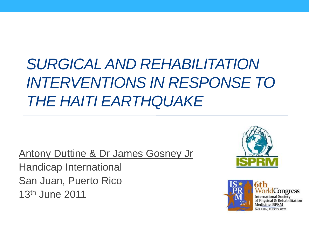## *SURGICAL AND REHABILITATION INTERVENTIONS IN RESPONSE TO THE HAITI EARTHQUAKE*

Antony Duttine & Dr James Gosney Jr Handicap International San Juan, Puerto Rico 13th June 2011



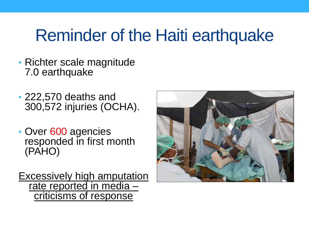## Reminder of the Haiti earthquake

- Richter scale magnitude 7.0 earthquake
- 222,570 deaths and 300,572 injuries (OCHA).
- Over 600 agencies responded in first month (PAHO)

Excessively high amputation rate reported in media – criticisms of response

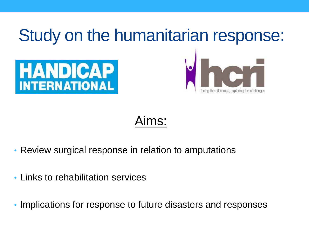#### Study on the humanitarian response: **HANDICAP INTERNATIONAL** facing the dilemmas, exploring the challenges

#### Aims:

- Review surgical response in relation to amputations
- Links to rehabilitation services
- Implications for response to future disasters and responses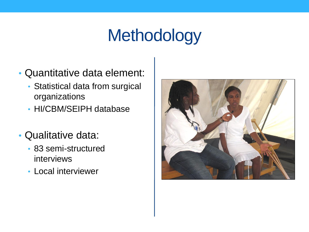# **Methodology**

- Quantitative data element:
	- Statistical data from surgical organizations
	- HI/CBM/SEIPH database
- Qualitative data:
	- 83 semi-structured interviews
	- Local interviewer

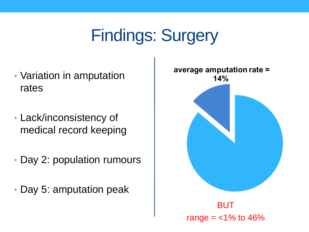## Findings: Surgery

- Variation in amputation rates
- Lack/inconsistency of medical record keeping
- Day 2: population rumours
- Day 5: amputation peak

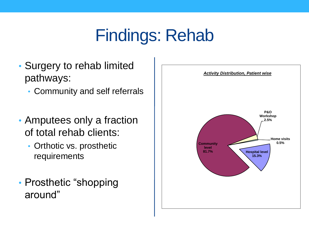# Findings: Rehab

- Surgery to rehab limited pathways:
	- Community and self referrals
- Amputees only a fraction of total rehab clients:
	- Orthotic vs. prosthetic requirements
- Prosthetic "shopping around"

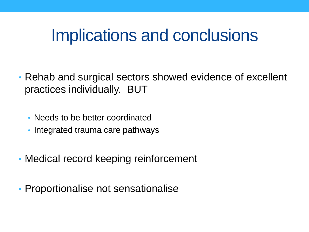#### Implications and conclusions

- Rehab and surgical sectors showed evidence of excellent practices individually. BUT
	- Needs to be better coordinated
	- Integrated trauma care pathways
- Medical record keeping reinforcement
- Proportionalise not sensationalise